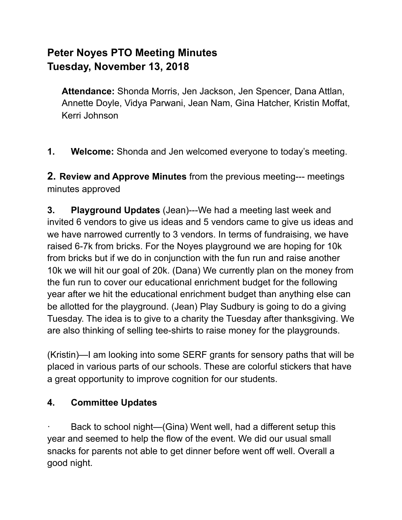# **Peter Noyes PTO Meeting Minutes Tuesday, November 13, 2018**

**Attendance:** Shonda Morris, Jen Jackson, Jen Spencer, Dana Attlan, Annette Doyle, Vidya Parwani, Jean Nam, Gina Hatcher, Kristin Moffat, Kerri Johnson

**1. Welcome:** Shonda and Jen welcomed everyone to today's meeting.

**2. Review and Approve Minutes** from the previous meeting--- meetings minutes approved

**3. Playground Updates** (Jean)---We had a meeting last week and invited 6 vendors to give us ideas and 5 vendors came to give us ideas and we have narrowed currently to 3 vendors. In terms of fundraising, we have raised 6-7k from bricks. For the Noyes playground we are hoping for 10k from bricks but if we do in conjunction with the fun run and raise another 10k we will hit our goal of 20k. (Dana) We currently plan on the money from the fun run to cover our educational enrichment budget for the following year after we hit the educational enrichment budget than anything else can be allotted for the playground. (Jean) Play Sudbury is going to do a giving Tuesday. The idea is to give to a charity the Tuesday after thanksgiving. We are also thinking of selling tee-shirts to raise money for the playgrounds.

(Kristin)—I am looking into some SERF grants for sensory paths that will be placed in various parts of our schools. These are colorful stickers that have a great opportunity to improve cognition for our students.

### **4. Committee Updates**

Back to school night—(Gina) Went well, had a different setup this year and seemed to help the flow of the event. We did our usual small snacks for parents not able to get dinner before went off well. Overall a good night.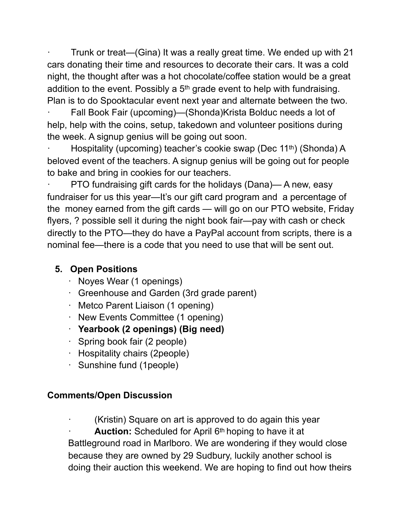· Trunk or treat—(Gina) It was a really great time. We ended up with 21 cars donating their time and resources to decorate their cars. It was a cold night, the thought after was a hot chocolate/coffee station would be a great addition to the event. Possibly a 5<sup>th</sup> grade event to help with fundraising. Plan is to do Spooktacular event next year and alternate between the two.

Fall Book Fair (upcoming)—(Shonda)Krista Bolduc needs a lot of help, help with the coins, setup, takedown and volunteer positions during the week. A signup genius will be going out soon.

Hospitality (upcoming) teacher's cookie swap (Dec 11<sup>th</sup>) (Shonda) A beloved event of the teachers. A signup genius will be going out for people to bake and bring in cookies for our teachers.

· PTO fundraising gift cards for the holidays (Dana)— A new, easy fundraiser for us this year—It's our gift card program and a percentage of the money earned from the gift cards — will go on our PTO website, Friday flyers, ? possible sell it during the night book fair—pay with cash or check directly to the PTO—they do have a PayPal account from scripts, there is a nominal fee—there is a code that you need to use that will be sent out.

### **5. Open Positions**

- · Noyes Wear (1 openings)
- · Greenhouse and Garden (3rd grade parent)
- · Metco Parent Liaison (1 opening)
- · New Events Committee (1 opening)
- · **Yearbook (2 openings) (Big need)**
- · Spring book fair (2 people)
- · Hospitality chairs (2people)
- · Sunshine fund (1people)

## **Comments/Open Discussion**

· (Kristin) Square on art is approved to do again this year

**Auction:** Scheduled for April 6<sup>th</sup> hoping to have it at

Battleground road in Marlboro. We are wondering if they would close because they are owned by 29 Sudbury, luckily another school is doing their auction this weekend. We are hoping to find out how theirs